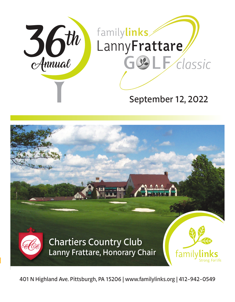



401 N Highland Ave. Pittsburgh, PA 15206 | www.familylinks.org | 412-942-0549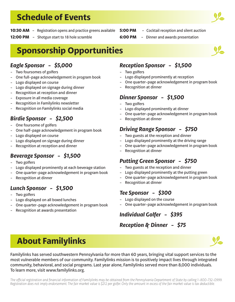# **Schedule of Events**



- **10:30 AM** Registration opens and practice greens available **5:00 PM** - Cocktail reception and silent auction
- **12:00 PM** Shotgun start to 18 hole scramble

# **Sponsorship Opportunities**

## *Eagle Sponsor - \$5,000*

- Two foursomes of golfers
- One full-page acknowledgement in program book
- Logo displayed on course
- Logo displayed on signage during dinner
- Recognition at reception and dinner
- Exposure in all media coverage
- Recognition in Familylinks newsletter
- Recognition on Familylinks social media

# *Birdie Sponsor - \$2,500*

- One foursome of golfers
- One half-page acknowledgement in program book
- Logo displayed on course
- Logo displayed on signage during dinner
- Recognition at reception and dinner

# *Beverage Sponsor - \$1,500*

- Two golfers
- Logo displayed prominently at each beverage station
- One quarter-page acknowledgement in program book
- Recognition at dinner

# *Lunch Sponsor - \$1,500*

- Two golfers
- Logo displayed on all boxed lunches
- One quarter-page acknowledgement in program book
- Recognition at awards presentation

#### *Reception Sponsor - \$1,500*

**6:00 PM** - Dinner and awards presentation

- Two golfers
- Logo displayed prominently at reception
- One quarter-page acknowledgement in program book
- Recognition at dinner

### *Dinner Sponsor - \$1,500*

- Two golfers
- Logo displayed prominently at dinner
- One quarter-page acknowledgement in program book
- Recognition at dinner

#### *Driving Range Sponsor - \$750*

- Two guests at the reception and dinner
- Logo displayed prominently at the driving range
- One quarter-page acknowledgement in program book
- Recognition at dinner

#### *Putting Green Sponsor - \$750*

- Two guests at the reception and dinner
- Logo displayed prominently at the putting green
- One quarter-page acknowledgement in program book
- Recognition at dinner

### *Tee Sponsor - \$300*

- Logo displayed on the course
- One quarter-page acknowledgement in program book

# *Individual Golfer - \$395*

#### *Reception & Dinner - \$75*



# **About Familylinks**

Familylinks has served southwestern Pennsylvania for more than 60 years, bringing vital support services to the most vulnerable members of our community. Familylinks mission is to positively impact lives through integrated community, behavioral, and social programs. Last year alone, Familylinks served more than 8,000 individuals. To learn more, visit www.familylinks.org.

*The official registration and financial information of Familylinks may be obtained from the Pennsylvania Department of State by calling 1-800-732-0999. Registration does not imply endorsement. The fair market value is \$212 per golfer. Only the amount in excess of the fair market value is tax deductible.*

Y